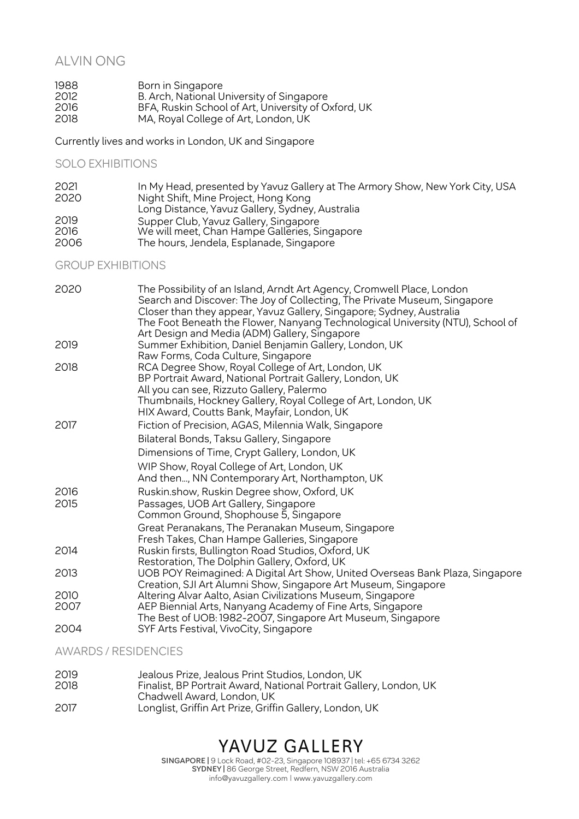## ALVIN ONG

| 1988 | Born in Singapore                                   |
|------|-----------------------------------------------------|
| 2012 | B. Arch, National University of Singapore           |
| 2016 | BFA, Ruskin School of Art, University of Oxford, UK |
| 2018 | MA, Royal College of Art, London, UK                |

Currently lives and works in London, UK and Singapore

SOLO EXHIBITIONS

| 2021 | In My Head, presented by Yavuz Gallery at The Armory Show, New York City, USA |
|------|-------------------------------------------------------------------------------|
| 2020 | Night Shift, Mine Project, Hong Kong                                          |
|      | Long Distance, Yavuz Gallery, Sydney, Australia                               |
| 2019 | Supper Club, Yavuz Gallery, Singapore                                         |
| 2016 | We will meet, Chan Hampe Galleries, Singapore                                 |
| 2006 | The hours, Jendela, Esplanade, Singapore                                      |

GROUP EXHIBITIONS

| 2020 | The Possibility of an Island, Arndt Art Agency, Cromwell Place, London<br>Search and Discover: The Joy of Collecting, The Private Museum, Singapore<br>Closer than they appear, Yavuz Gallery, Singapore; Sydney, Australia<br>The Foot Beneath the Flower, Nanyang Technological University (NTU), School of |
|------|---------------------------------------------------------------------------------------------------------------------------------------------------------------------------------------------------------------------------------------------------------------------------------------------------------------|
| 2019 | Art Design and Media (ADM) Gallery, Singapore<br>Summer Exhibition, Daniel Benjamin Gallery, London, UK                                                                                                                                                                                                       |
|      | Raw Forms, Coda Culture, Singapore                                                                                                                                                                                                                                                                            |
| 2018 | RCA Degree Show, Royal College of Art, London, UK                                                                                                                                                                                                                                                             |
|      | BP Portrait Award, National Portrait Gallery, London, UK                                                                                                                                                                                                                                                      |
|      | All you can see, Rizzuto Gallery, Palermo                                                                                                                                                                                                                                                                     |
|      | Thumbnails, Hockney Gallery, Royal College of Art, London, UK                                                                                                                                                                                                                                                 |
|      | HIX Award, Coutts Bank, Mayfair, London, UK                                                                                                                                                                                                                                                                   |
| 2017 | Fiction of Precision, AGAS, Milennia Walk, Singapore                                                                                                                                                                                                                                                          |
|      | Bilateral Bonds, Taksu Gallery, Singapore                                                                                                                                                                                                                                                                     |
|      | Dimensions of Time, Crypt Gallery, London, UK                                                                                                                                                                                                                                                                 |
|      | WIP Show, Royal College of Art, London, UK                                                                                                                                                                                                                                                                    |
|      | And then, NN Contemporary Art, Northampton, UK                                                                                                                                                                                                                                                                |
| 2016 | Ruskin.show, Ruskin Degree show, Oxford, UK                                                                                                                                                                                                                                                                   |
| 2015 | Passages, UOB Art Gallery, Singapore                                                                                                                                                                                                                                                                          |
|      | Common Ground, Shophouse 5, Singapore                                                                                                                                                                                                                                                                         |
|      | Great Peranakans, The Peranakan Museum, Singapore                                                                                                                                                                                                                                                             |
|      | Fresh Takes, Chan Hampe Galleries, Singapore                                                                                                                                                                                                                                                                  |
| 2014 | Ruskin firsts, Bullington Road Studios, Oxford, UK                                                                                                                                                                                                                                                            |
|      | Restoration, The Dolphin Gallery, Oxford, UK                                                                                                                                                                                                                                                                  |
| 2013 | UOB POY Reimagined: A Digital Art Show, United Overseas Bank Plaza, Singapore                                                                                                                                                                                                                                 |
|      | Creation, SJI Art Alumni Show, Singapore Art Museum, Singapore                                                                                                                                                                                                                                                |
| 2010 | Altering Alvar Aalto, Asian Civilizations Museum, Singapore                                                                                                                                                                                                                                                   |
| 2007 | AEP Biennial Arts, Nanyang Academy of Fine Arts, Singapore                                                                                                                                                                                                                                                    |
|      | The Best of UOB: 1982-2007, Singapore Art Museum, Singapore                                                                                                                                                                                                                                                   |
| 2004 | SYF Arts Festival, VivoCity, Singapore                                                                                                                                                                                                                                                                        |

AWARDS / RESIDENCIES

| 2019 | Jealous Prize, Jealous Print Studios, London, UK                   |
|------|--------------------------------------------------------------------|
| 2018 | Finalist, BP Portrait Award, National Portrait Gallery, London, UK |
|      | Chadwell Award, London, UK                                         |
| 2017 | Longlist, Griffin Art Prize, Griffin Gallery, London, UK           |

## YAVUZ GALLERY